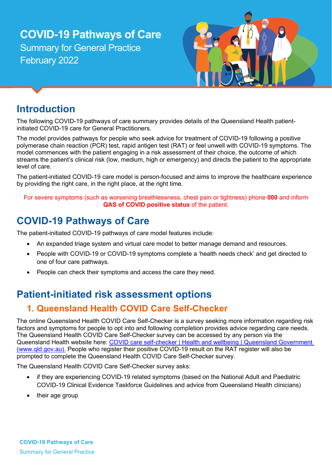# **COVID-19 Pathways of Care** Summary for General Practice February 2022



## **Introduction**

The following COVID-19 pathways of care summary provides details of the Queensland Health patientinitiated COVID-19 care for General Practitioners.

The model provides pathways for people who seek advice for treatment of COVID-19 following a positive polymerase chain reaction (PCR) test, rapid antigen test (RAT) or feel unwell with COVID-19 symptoms. The model commences with the patient engaging in a risk assessment of their choice, the outcome of which streams the patient's clinical risk (low, medium, high or emergency) and directs the patient to the appropriate level of care.

The patient-initiated COVID-19 care model is person-focused and aims to improve the healthcare experience by providing the right care, in the right place, at the right time.

For severe symptoms (such as worsening breathlessness, chest pain or tightness) phone **000** and inform **QAS of COVID positive status of the patient.** 

## **COVID-19 Pathways of Care**

The patient-initiated COVID-19 pathways of care model features include:

- An expanded triage system and virtual care model to better manage demand and resources.
- People with COVID-19 or COVID-19 symptoms complete a 'health needs check' and get directed to one of four care pathways.
- People can check their symptoms and access the care they need.

## **Patient-initiated risk assessment options**

#### **1. Queensland Health COVID Care Self-Checker**

The online Queensland Health COVID Care Self-Checker is a survey seeking more information regarding risk factors and symptoms for people to opt into and following completion provides advice regarding care needs. The Queensland Health COVID Care Self-Checker survey can be accessed by any person via the Queensland Health website here: COVID care self-checker | Health and wellbeing | Queensland Government (www.qld.gov.au). People who register their positive COVID-19 result on the RAT register will also be prompted to complete the Queensland Health COVID Care Self-Checker survey.

The Queensland Health COVID Care Self-Checker survey asks:

- if they are experiencing COVID-19 related symptoms (based on the National Adult and Paediatric COVID-19 Clinical Evidence Taskforce Guidelines and advice from Queensland Health clinicians)
- their age group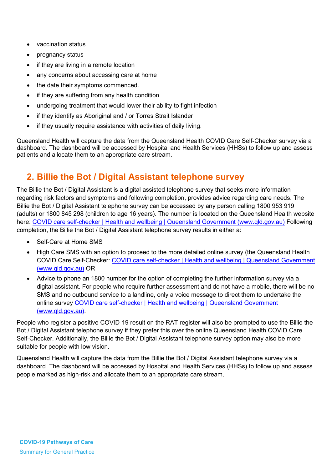- vaccination status
- pregnancy status
- if they are living in a remote location
- any concerns about accessing care at home
- the date their symptoms commenced.
- if they are suffering from any health condition
- undergoing treatment that would lower their ability to fight infection
- if they identify as Aboriginal and / or Torres Strait Islander
- if they usually require assistance with activities of daily living.

Queensland Health will capture the data from the Queensland Health COVID Care Self-Checker survey via a dashboard. The dashboard will be accessed by Hospital and Health Services (HHSs) to follow up and assess patients and allocate them to an appropriate care stream.

#### **2. Billie the Bot / Digital Assistant telephone survey**

The Billie the Bot / Digital Assistant is a digital assisted telephone survey that seeks more information regarding risk factors and symptoms and following completion, provides advice regarding care needs. The Billie the Bot / Digital Assistant telephone survey can be accessed by any person calling 1800 953 919 (adults) or 1800 845 298 (children to age 16 years). The number is located on the Queensland Health website here: [COVID care self-checker | Health and wellbeing | Queensland Government \(www.qld.gov.au\)](https://www.qld.gov.au/health/conditions/health-alerts/coronavirus-covid-19/stay-informed/covid-care-self-checker) Following completion, the Billie the Bot / Digital Assistant telephone survey results in either a:

- Self-Care at Home SMS
- High Care SMS with an option to proceed to the more detailed online survey (the Queensland Health COVID Care Self-Checker: [COVID care self-checker | Health and wellbeing | Queensland Government](https://www.qld.gov.au/health/conditions/health-alerts/coronavirus-covid-19/stay-informed/covid-care-self-checker)  [\(www.qld.gov.au\)](https://www.qld.gov.au/health/conditions/health-alerts/coronavirus-covid-19/stay-informed/covid-care-self-checker) OR
- Advice to phone an 1800 number for the option of completing the further information survey via a digital assistant. For people who require further assessment and do not have a mobile, there will be no SMS and no outbound service to a landline, only a voice message to direct them to undertake the online survey [COVID care self-checker | Health and wellbeing | Queensland Government](https://www.qld.gov.au/health/conditions/health-alerts/coronavirus-covid-19/stay-informed/covid-care-self-checker)  [\(www.qld.gov.au\).](https://www.qld.gov.au/health/conditions/health-alerts/coronavirus-covid-19/stay-informed/covid-care-self-checker)

People who register a positive COVID-19 result on the RAT register will also be prompted to use the Billie the Bot / Digital Assistant telephone survey if they prefer this over the online Queensland Health COVID Care Self-Checker. Additionally, the Billie the Bot / Digital Assistant telephone survey option may also be more suitable for people with low vision.

Queensland Health will capture the data from the Billie the Bot / Digital Assistant telephone survey via a dashboard. The dashboard will be accessed by Hospital and Health Services (HHSs) to follow up and assess people marked as high-risk and allocate them to an appropriate care stream.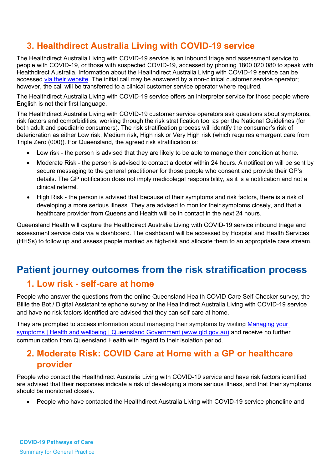#### **3. Healthdirect Australia Living with COVID-19 service**

The Healthdirect Australia Living with COVID-19 service is an inbound triage and assessment service to people with COVID-19, or those with suspected COVID-19, accessed by phoning 1800 020 080 to speak with Healthdirect Australia. Information about the Healthdirect Australia Living with COVID-19 service can be accessed [via their website.](https://www.healthdirect.gov.au/) The initial call may be answered by a non-clinical customer service operator; however, the call will be transferred to a clinical customer service operator where required.

The Healthdirect Australia Living with COVID-19 service offers an interpreter service for those people where English is not their first language.

The Healthdirect Australia Living with COVID-19 customer service operators ask questions about symptoms, risk factors and comorbidities, working through the risk stratification tool as per the National Guidelines (for both adult and paediatric consumers). The risk stratification process will identify the consumer's risk of deterioration as either Low risk, Medium risk, High risk or Very High risk (which requires emergent care from Triple Zero (000)). For Queensland, the agreed risk stratification is:

- Low risk the person is advised that they are likely to be able to manage their condition at home.
- Moderate Risk the person is advised to contact a doctor within 24 hours. A notification will be sent by secure messaging to the general practitioner for those people who consent and provide their GP's details. The GP notification does not imply medicolegal responsibility, as it is a notification and not a clinical referral.
- High Risk the person is advised that because of their symptoms and risk factors, there is a risk of developing a more serious illness. They are advised to monitor their symptoms closely, and that a healthcare provider from Queensland Health will be in contact in the next 24 hours.

Queensland Health will capture the Healthdirect Australia Living with COVID-19 service inbound triage and assessment service data via a dashboard. The dashboard will be accessed by Hospital and Health Services (HHSs) to follow up and assess people marked as high-risk and allocate them to an appropriate care stream.

### **Patient journey outcomes from the risk stratification process 1. Low risk - self-care at home**

People who answer the questions from the online Queensland Health COVID Care Self-Checker survey, the Billie the Bot / Digital Assistant telephone survey or the Healthdirect Australia Living with COVID-19 service and have no risk factors identified are advised that they can self-care at home.

They are prompted to access information about managing their symptoms by visiting Managing your [symptoms | Health and wellbeing | Queensland Government \(www.qld.gov.au\)](https://www.qld.gov.au/health/conditions/health-alerts/coronavirus-covid-19/stay-informed/i-have-covid/managing-your-symptoms) and receive no further communication from Queensland Health with regard to their isolation period.

#### **2. Moderate Risk: COVID Care at Home with a GP or healthcare provider**

People who contact the Healthdirect Australia Living with COVID-19 service and have risk factors identified are advised that their responses indicate a risk of developing a more serious illness, and that their symptoms should be monitored closely.

• People who have contacted the Healthdirect Australia Living with COVID-19 service phoneline and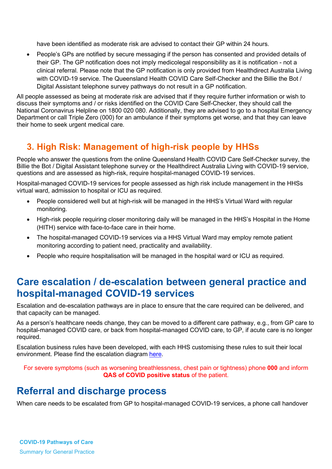have been identified as moderate risk are advised to contact their GP within 24 hours.

• People's GPs are notified by secure messaging if the person has consented and provided details of their GP. The GP notification does not imply medicolegal responsibility as it is notification - not a clinical referral. Please note that the GP notification is only provided from Healthdirect Australia Living with COVID-19 service. The Queensland Health COVID Care Self-Checker and the Billie the Bot / Digital Assistant telephone survey pathways do not result in a GP notification.

All people assessed as being at moderate risk are advised that if they require further information or wish to discuss their symptoms and / or risks identified on the COVID Care Self-Checker, they should call the National Coronavirus Helpline on 1800 020 080. Additionally, they are advised to go to a hospital Emergency Department or call Triple Zero (000) for an ambulance if their symptoms get worse, and that they can leave their home to seek urgent medical care.

#### **3. High Risk: Management of high-risk people by HHSs**

People who answer the questions from the online Queensland Health COVID Care Self-Checker survey, the Billie the Bot / Digital Assistant telephone survey or the Healthdirect Australia Living with COVID-19 service, questions and are assessed as high-risk, require hospital-managed COVID-19 services.

Hospital-managed COVID-19 services for people assessed as high risk include management in the HHSs virtual ward, admission to hospital or ICU as required.

- People considered well but at high-risk will be managed in the HHS's Virtual Ward with regular monitoring.
- High-risk people requiring closer monitoring daily will be managed in the HHS's Hospital in the Home (HITH) service with face-to-face care in their home.
- The hospital-managed COVID-19 services via a HHS Virtual Ward may employ remote patient monitoring according to patient need, practicality and availability.
- People who require hospitalisation will be managed in the hospital ward or ICU as required.

#### **Care escalation / de-escalation between general practice and hospital-managed COVID-19 services**

Escalation and de-escalation pathways are in place to ensure that the care required can be delivered, and that capacity can be managed.

As a person's healthcare needs change, they can be moved to a different care pathway, e.g., from GP care to hospital-managed COVID care, or back from hospital-managed COVID care, to GP, if acute care is no longer required.

Escalation business rules have been developed, with each HHS customising these rules to suit their local environment. Please find the escalation diagram [here.](https://www.health.qld.gov.au/clinical-practice/guidelines-procedures/novel-coronavirus-qld-clinicians/information-for-primary-care)

For severe symptoms (such as worsening breathlessness, chest pain or tightness) phone **000** and inform **QAS of COVID positive status** of the patient.

#### **Referral and discharge process**

When care needs to be escalated from GP to hospital-managed COVID-19 services, a phone call handover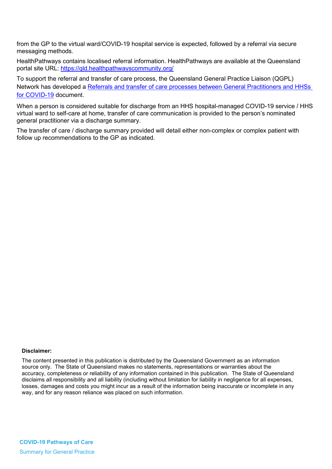from the GP to the virtual ward/COVID-19 hospital service is expected, followed by a referral via secure messaging methods.

HealthPathways contains localised referral information. HealthPathways are available at the Queensland portal site URL:<https://qld.healthpathwayscommunity.org/>

To support the referral and transfer of care process, the Queensland General Practice Liaison (QGPL) Network has developed a [Referrals and transfer of care processes between General Practitioners and HHSs](https://www.health.qld.gov.au/clinical-practice/guidelines-procedures/novel-coronavirus-qld-clinicians/information-for-primary-care)  [for COVID-19](https://www.health.qld.gov.au/clinical-practice/guidelines-procedures/novel-coronavirus-qld-clinicians/information-for-primary-care) document.

When a person is considered suitable for discharge from an HHS hospital-managed COVID-19 service / HHS virtual ward to self-care at home, transfer of care communication is provided to the person's nominated general practitioner via a discharge summary.

The transfer of care / discharge summary provided will detail either non-complex or complex patient with follow up recommendations to the GP as indicated.

#### **Disclaimer:**

The content presented in this publication is distributed by the Queensland Government as an information source only. The State of Queensland makes no statements, representations or warranties about the accuracy, completeness or reliability of any information contained in this publication. The State of Queensland disclaims all responsibility and all liability (including without limitation for liability in negligence for all expenses, losses, damages and costs you might incur as a result of the information being inaccurate or incomplete in any way, and for any reason reliance was placed on such information.